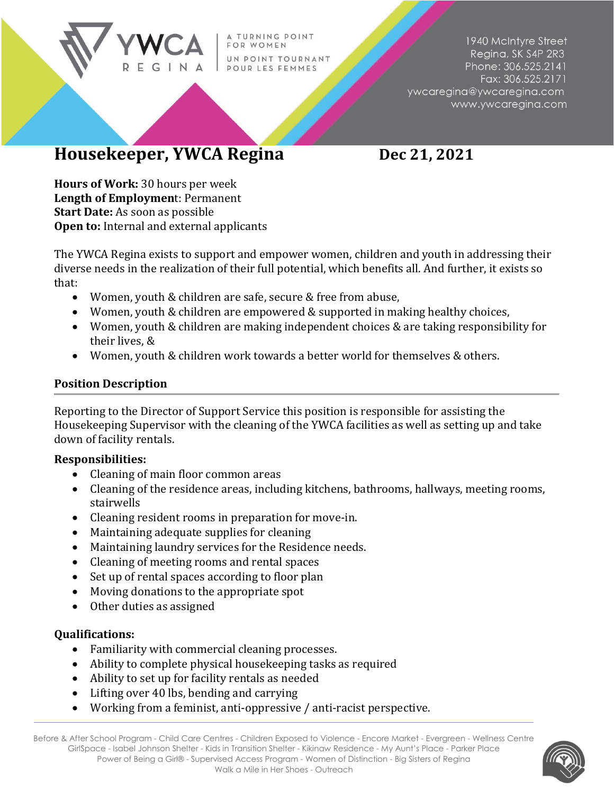TURNING POINT OR WOMEN UN POINT TOURNANT POUR LES FEMMES

1940 McIntyre Street Regina, SK S4P 2R3 Phone: 306.525.2141 Fax: 306.525.2171 ywcaregina@ywcaregina.com www.ywcaregina.com

## **Housekeeper, YWCA Regina Dec 21, 2021**

**Hours of Work:** 30 hours per week **Length of Employmen**t: Permanent **Start Date:** As soon as possible **Open to:** Internal and external applicants

The YWCA Regina exists to support and empower women, children and youth in addressing their diverse needs in the realization of their full potential, which benefits all. And further, it exists so that:

- Women, youth & children are safe, secure & free from abuse,
- Women, youth & children are empowered & supported in making healthy choices,
- Women, youth & children are making independent choices & are taking responsibility for their lives, &
- Women, youth & children work towards a better world for themselves & others.

## **Position Description**

Reporting to the Director of Support Service this position is responsible for assisting the Housekeeping Supervisor with the cleaning of the YWCA facilities as well as setting up and take down of facility rentals.

## **Responsibilities:**

- Cleaning of main floor common areas
- Cleaning of the residence areas, including kitchens, bathrooms, hallways, meeting rooms, stairwells
- Cleaning resident rooms in preparation for move-in.
- Maintaining adequate supplies for cleaning
- Maintaining laundry services for the Residence needs.
- Cleaning of meeting rooms and rental spaces
- Set up of rental spaces according to floor plan
- Moving donations to the appropriate spot
- Other duties as assigned

## **Qualifications:**

- Familiarity with commercial cleaning processes.
- Ability to complete physical housekeeping tasks as required
- Ability to set up for facility rentals as needed
- Lifting over 40 lbs, bending and carrying
- Working from a feminist, anti-oppressive / anti-racist perspective.